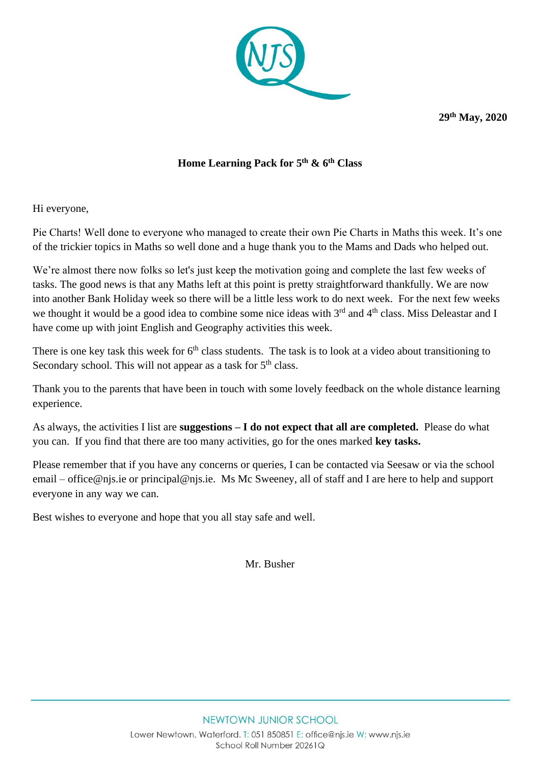

**29th May, 2020**

## **Home Learning Pack for 5 th & 6th Class**

Hi everyone,

Pie Charts! Well done to everyone who managed to create their own Pie Charts in Maths this week. It's one of the trickier topics in Maths so well done and a huge thank you to the Mams and Dads who helped out.

We're almost there now folks so let's just keep the motivation going and complete the last few weeks of tasks. The good news is that any Maths left at this point is pretty straightforward thankfully. We are now into another Bank Holiday week so there will be a little less work to do next week. For the next few weeks we thought it would be a good idea to combine some nice ideas with  $3<sup>rd</sup>$  and  $4<sup>th</sup>$  class. Miss Deleastar and I have come up with joint English and Geography activities this week.

There is one key task this week for  $6<sup>th</sup>$  class students. The task is to look at a video about transitioning to Secondary school. This will not appear as a task for  $5<sup>th</sup>$  class.

Thank you to the parents that have been in touch with some lovely feedback on the whole distance learning experience.

As always, the activities I list are **suggestions – I do not expect that all are completed.** Please do what you can. If you find that there are too many activities, go for the ones marked **key tasks.** 

Please remember that if you have any concerns or queries, I can be contacted via Seesaw or via the school email – [office@njs.ie](mailto:office@njs.ie) or [principal@njs.ie.](mailto:principal@njs.ie) Ms Mc Sweeney, all of staff and I are here to help and support everyone in any way we can.

Best wishes to everyone and hope that you all stay safe and well.

Mr. Busher